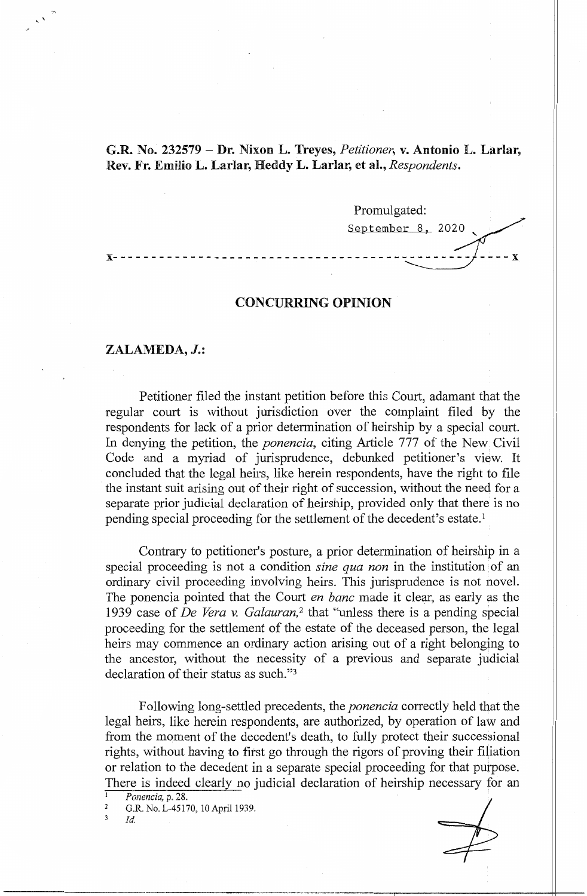**G.R. No. 232579** - **Dr.** Nixon **L. Treyes,** *Petitioner,* **v. Antonio** L. **Larlar,**  Rev. Fr. Emilio L. Larlar, Heddy L. Larlar, et al., *Respondents*.

Promulgated: September 8, 2020 **x---------------------------------------------- ----x** 

## **CONCURRING OPINION**

## **ZALAMEDA, J.:**

Petitioner filed the instant petition before this Court, adamant that the regular court is without jurisdiction over the complaint filed by the respondents for lack of a prior determination of heirship by a special court. In denying the petition, the *ponencia,* citing Article 777 of the New Civil Code and a myriad of jurisprudence, debunked petitioner's view. It concluded that the legal heirs, like herein respondents, have the right to file the instant suit arising out of their right of succession, without the need for a separate prior judicial declaration of heirship, provided only that there is no pending special proceeding for the settlement of the decedent's estate. <sup>1</sup>

Contrary to petitioner's posture, a prior determination of heirship in a special proceeding is not a condition *sine qua non* in the institution of an ordinary civil proceeding involving heirs. This jurisprudence is not novel. The ponencia pointed that the Court *en bane* made it clear, as early as the 1939 case of *De Vera v. Galauran*,<sup>2</sup> that "unless there is a pending special proceeding for the settlement of the estate of the deceased person, the legal heirs may commence an ordinary action arising out of a right belonging to the ancestor, without the necessity of a previous and separate judicial declaration of their status as such."<sup>3</sup>

Following long-settled precedents, the *ponencia* correctly held that the legal heirs, like herein respondents, are authorized, by operation of law and from the moment of the decedent's death, to fully protect their successional rights, without having to first go through the rigors of proving their filiation or relation to the decedent in a separate special proceeding for that purpose. There is indeed clearly no judicial declaration of heirship necessary for an

*Ponencia,* p. 28.

2 G.R. No. L-45170, IO April 1939.

3 *Id.*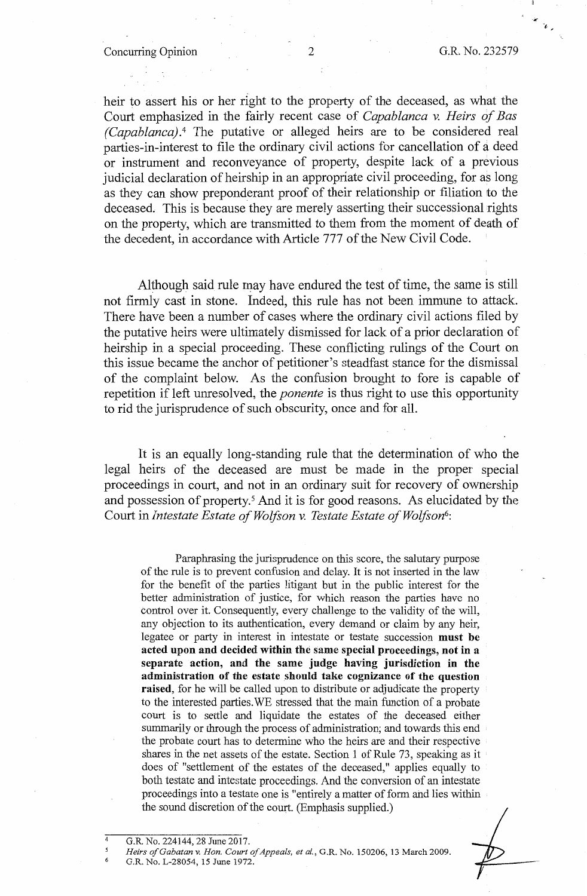heir to assert his or her right to the property of the deceased, as what the Court emphasized in the fairly recent case of *Capablanca* v. *Heirs of Bas (Capablanca).* <sup>4</sup>The putative or alleged heirs are to be considered real parties-in-interest to file the ordinary civil actions for cancellation of a deed or instrument and reconveyance of property, despite lack of a previous judicial declaration of heirship in an appropriate civil proceeding, for as long as they can show preponderant proof of their relationship or filiation to the deceased, This is because they are merely asserting their successional rights on the property, which are transmitted to them from the moment of death of the decedent, in accordance with Article 777 of the New Civil Code.

Although said rule may have endured the test of time, the same is still not firmly cast in stone. Indeed, this rule has not been immune to attack. There have been a number of cases where the ordinary civil actions filed by the putative heirs were ultimately dismissed for lack of a prior declaration of heirship in a special proceeding. These conflicting rulings of the Court on this issue became the anchor of petitioner's steadfast stance for the dismissal of the complaint below. As the confusion brought to fore is capable of repetition if left unresolved, the *ponente* is thus right to use this opportunity to rid the jurisprudence of such obscurity, once and for all.

It is an equally long-standing rule that the determination of who the legal heirs of the deceased are must be made in the proper special proceedings in court, and not in an ordinary suit for recovery of ownership and possession of property.<sup>5</sup> And it is for good reasons. As elucidated by the Court in *Intestate Estate of Wolfson v. Testate Estate of Wolfson<sup>6</sup>:* 

Paraphrasing the jurisprudence on this score, the salutary purpose of the rule is to prevent confusion and delay. It is not inserted in the law for the benefit of the parties litigant but in the public interest for the better administration of justice, for which reason the parties have no control over it. Consequently, every challenge to the validity of the will, any objection to its authentication, every demand or claim by any heir, legatee or party in interest in intestate or testate succession **must be acted upon and decided within the same special proceedings, not in a separate action, and the same judge having jurisdiction in the administration of the estate should take cognizance of the question raised,** for he will be called upon to distribute or adjudicate the property to the interested parties.WE stressed that the main function of a probate court is to settle and liquidate the estates of the deceased either summarily or through the process of administration; and towards this end the probate court has to determine who the heirs are and their respective shares in the net assets of the estate. Section 1 of Rule 73, speaking as it does of "settlement of the estates of the deceased," applies equally to both testate and intestate proceedings. And the conversion of an intestate proceedings into a testate one is "entirely a matter of form and lies within the sound discretion of the court. (Emphasis supplied.)

G.R. No. 224144, 28 June 2017.

4 *5*  6

*Heirs ofGabatan v. Hon. Court a/Appeals, et al.,* G.R. No. 150206, 13 March 2009.

G.R. No. L-28054, 15 June 1972.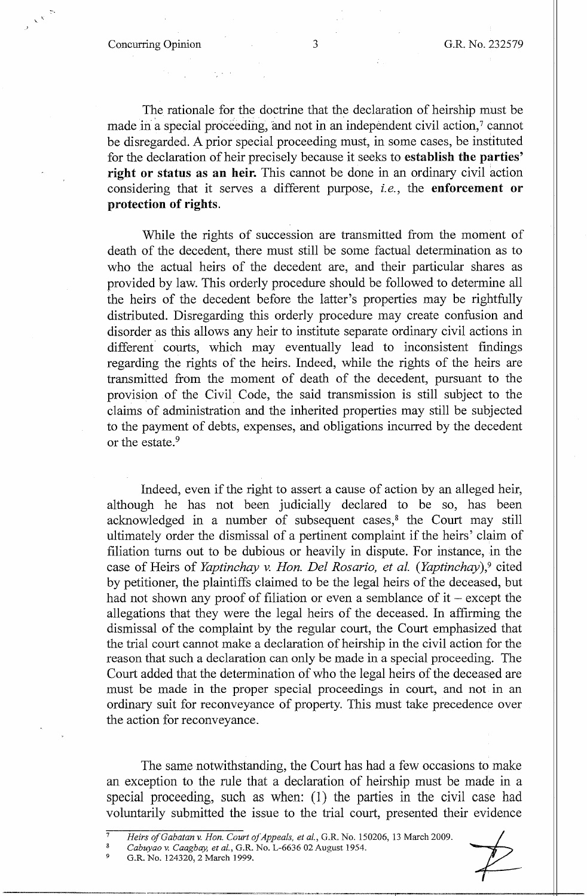The rationale for the doctrine that the declaration of heirship must be made in a special proceeding, and not in an independent civil action,<sup>7</sup> cannot be disregarded. A prior special proceeding must, in some cases, be instituted for the declaration of heir precisely because it seeks to **establish the parties' right or status as an heir.** This cannot be done in an ordinary civil action considering that it serves a different purpose, *i.e.*, the **enforcement** or **protection of rights.** 

While the rights of succession are transmitted from the moment of death of the decedent, there must still be some factual determination as to who the actual heirs of the decedent are, and their particular shares as provided by law. This orderly procedure should be followed to determine all the heirs of the decedent before the latter's properties may be rightfully distributed. Disregarding this orderly procedure may create confusion and disorder as this allows any heir to institute separate ordinary civil actions in different courts, which may eventually lead to inconsistent findings regarding the rights of the heirs. Indeed, while the rights of the heirs are transmitted from the moment of death of the decedent, pursuant to the provision .of the Civil Code, the said transmission is still subject to the claims of administration and the inherited properties may still be subjected to the payment of debts, expenses, and obligations incurred by the decedent or the estate.<sup>9</sup>

Indeed, even if the right to assert a cause of action by an alleged heir, although he has not been judicially declared to be so, has been acknowledged in a number of subsequent cases,<sup>8</sup> the Court may still ultimately order the dismissal of a pertinent complaint if the heirs' claim of filiation turns out to be dubious or heavily in dispute. For instance, in the case of Heirs of *Yaptinchay v. Hon. Del Rosario, et al. (Yaptinchay)*,<sup>9</sup> cited by petitioner, the plaintiffs claimed to be the legal heirs of the deceased, but had not shown any proof of filiation or even a semblance of  $it$  – except the allegations that they were the legal heirs of the deceased. In affirming the dismissal of the complaint by the regular court, the Court emphasized that the trial court cannot make a declaration of heirship in the civil action for the reason that such a declaration can only be made in a special proceeding. The Court added that the determination of who the legal heirs of the deceased are must be made in the proper special proceedings in court, and not in an ordinary suit for reconveyance of property. This must take precedence over the action for reconveyance.

The same notwithstanding, the Court has had a few occasions to make an exception to the rule that a declaration of heirship must be made in a special proceeding, such as when:  $(1)$  the parties in the civil case had voluntarily submitted the issue to the trial court, presented their evidence parties in the civil case had<br>
purt, presented their evidence<br>
150206, 13 March 2009.

9 G.R. No. 124320, 2 March 1999.



<sup>7</sup>  *Heirs ofGabatan v. Hon. Court ofAppeals, et al.,* G.R. No.

<sup>8</sup>  Cabuyao v. Caagbay, et al., G.R. No. L-6636 02 August 1954.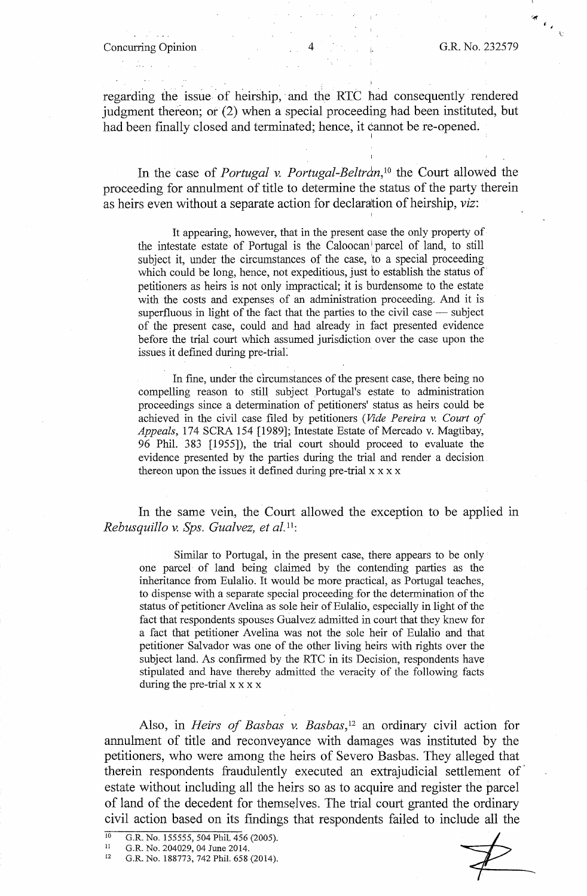## Concurring Opinion 4 G.R. No. 232579

regarding the issue of heirship, and the RTC had consequently rendered judgment thereon; or (2) when a special proceeding had been instituted, but had been finally closed and terminated; hence, it cannot be re-opened.

In the case of *Portugal v. Portugal-Beltran,* 10 the Court allowed the proceeding for annulment of title to determine the status of the party therein as heirs even without a separate action for declaration of heirship, *viz*:

It appearing, however, that in the present aase the only property of the intestate estate of Portugal is the Caloocan parcel of land, to still subject it, under the circumstances of the case, to a special proceeding which could be long, hence, not expeditious, just to establish the status of petitioners as heirs is not only impractical; it is burdensome to the estate with the costs and expenses of an administration proceeding. And it is superfluous in light of the fact that the parties to the civil case  $-$  subject of the present case, could and had. already in fact presented evidence before the trial court which assumed jurisdiction over the case upon the issues it defined during pre-trial.

In fine, under the circumstances of the present case, there being no compelling reason to still subject Portugal's estate to administration proceedings since a determination of petitioners' status as heirs could be achieved in the civil case filed by petitioners *(Vide Pereira v. Court of Appeals,* 174 SCRA 154 [1989]; Intestate Estate of Mercado v. Magtibay, 96 Phil. 383 [1955]), the trial court should proceed to evaluate the evidence presented by the parties during the trial and render a decision thereon upon the issues it defined during pre-trial  $x \times x$ 

In the same vein, the Court allowed the exception to be applied in *Rebusquillo v. Sps. Gualvez, et al.*<sup>11</sup>:

Similar *to* Portugal, in the present case, there appears to be only one parcel· of land being claimed by the contending parties as the inheritance from Eulalia. It would be more practical, as Portugal teaches, to dispense with a separate special proceeding for the determination of the status of petitioner Avelina as sole heir of Eulalio, especially in light of the fact that respondents spouses Gualvez admitted in court that they knew for a fact that petitioner Avelina was not the sole heir of Eulalia and that petitioner Salvador was one of the other living heirs with rights over the subject land. As confirmed by the RTC in its Decision, respondents have stipulated and have thereby admitted the veracity of the following facts during the pre-trial  $x \times x \times x$ 

Also, in *Heirs of Basbas v. Basbas,* 12 an ordinary civil action for annulment of title and reconveyance with damages was instituted by the petitioners, who were among the heirs of Severo Basbas. They alleged that therein respondents fraudulently executed an extrajudicial settlement of estate without including all the heirs so as to acquire and register the parcel of land of the decedent for themselves. The trial court granted the ordinary civil action based on its findings that respondents failed to include all the

10 G.R. No. 155555, 504 Phil. 456 (2005).

II G.R. No. 204029, 04 June 2014.

<sup>12</sup>  G.R. No. 188773, 742 Phil. 658 (2014).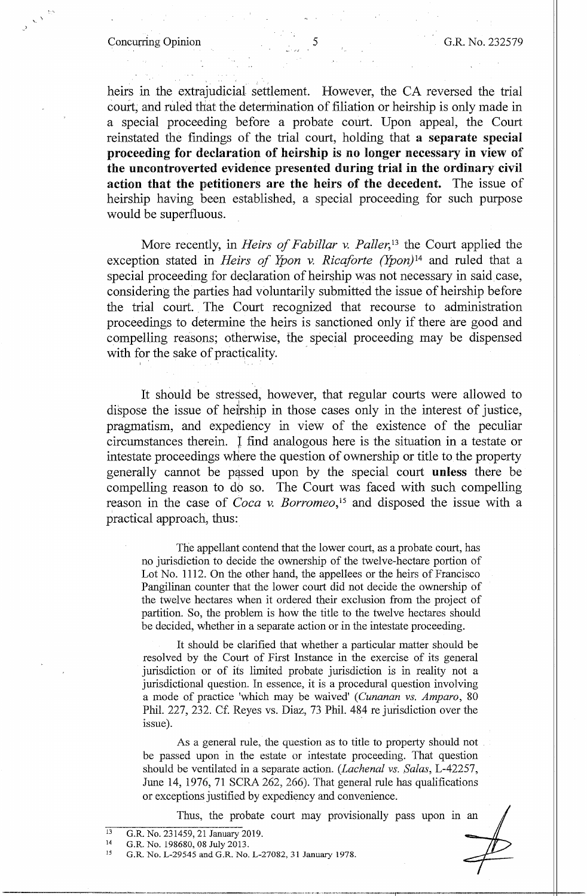Concurring Opinion 5 G.R. No. 232579

heirs in the extrajudicial settlement. However, the CA reversed the trial court; and ruled that the determination of filiation or heirship is only made in a special proceeding before a probate court. Upon appeal, the Court reinstated the findings of the trial court, holding that **a separate special proceeding for declaration of heirship is no longer necessary in view** of **the uncontroverted evidence presented during trial in the ordinary civil action that the petitioners are the heirs of the decedent.** The issue of heirship having been established, a special proceeding for such purpose would be superfluous.

More recently, in *Heirs of Fabillar v. Paller*<sup>13</sup> the Court applied the exception stated in *Heirs of Ypon v. Ricaforte (Ypon*)<sup>14</sup> and ruled that a special proceeding for declaration of heirship was not necessary in said case, considering the parties had voluntarily submitted the issue of heirship before the trial court. The Court recognized that recourse to administration proceedings to determine the heirs is sanctioned only if there are good and compelling reasons; otherwise, the special proceeding may be dispensed with for the sake of practicality.

It should be stressed, however, that regular courts were allowed to dispose the issue of hejrship in those cases only in the interest of justice, pragmatism, and expediency in view of the existence of the peculiar circumstances therein. l find analogous here is the situation in a testate or intestate proceedings where the question of ownership or title to the property generally cannot be passed upon by the special court **unless** there be compelling reason to do so. The Court was faced with such compelling reason in the case of *Coca* v. *Borromeo,* 15 and disposed the issue with a practical approach, thus:

The appellant contend that the lower court, as a probate court, has no jurisdiction to decide the ownership of the twelve-hectare portion of Lot No. 1112. On the other hand, the appellees or the heirs of Francisco Pangilinan counter that the lower court did not decide the ownership of the twelve hectares when it ordered their exclusion from the project of partition. So, the problem is how the title to the twelve hectares should be decided, whether in a separate action or in the intestate proceeding.

It should be clarified that whether a particular matter should be resolved by the Court of First Instance in the exercise of its general jurisdiction or of its limited probate jurisdiction is in reality not a jurisdictional question. In essence, it is a procedural question involving a mode of practice 'which may be waived' *(Cunanan vs. Amparo,* 80 Phil. 227, 232. Cf. Reyes vs. Diaz, 73 Phil. 484 re jurisdiction over the issue).

As a general rule, the question as to title to property should not be passed upon in the estate or intestate proceeding. That question should be ventilated in a separate action. *(Lachenal vs. Salas,* L-42257, June 14, 1976, 71 SCRA 262, 266). That general rule has qualifications or exceptions justified by expediency and convenience.

Thus, the probate court may provisionally pass upon in an

15 G .R. No. L-29545 and G .R. No, L-27082, 31 January 1978.

<sup>13</sup>  G.R. No. 231459, 21 January 2019.

<sup>14</sup>  G.R No. 198680, 08 July 2013.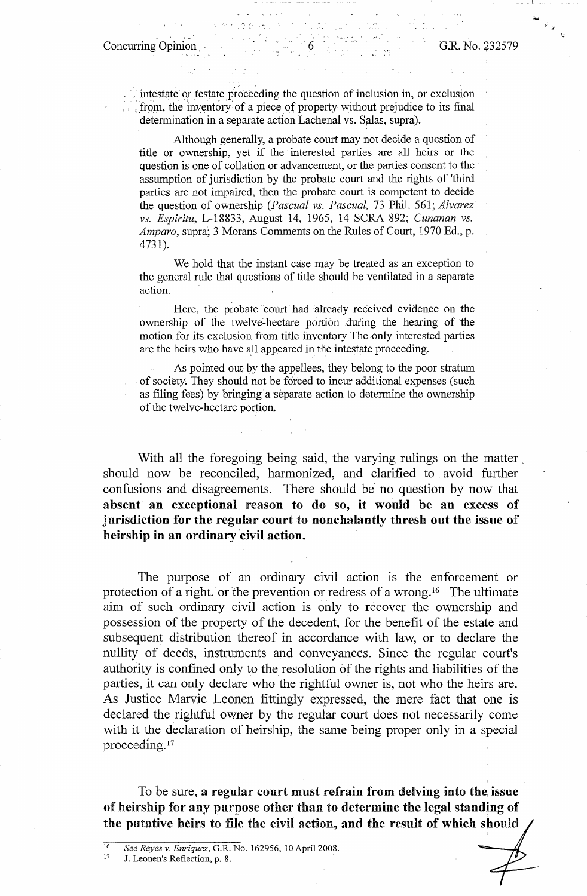- \_ I'

## Concurring Opinion 6 G.R. No. 232579

intestate or testate proceeding the question of inclusion in, or exclusion from, the inventory of a piece of property without prejudice to its final determination in a separate action Lachenal vs. Salas, supra).

Although generally, a probate court may not decide a question of title or ownership, yet if the interested parties are all heirs or the question is one of collation or advancement, or the parties consent to the assumptidn of jurisdiction by the probate court and the rights of 'third parties are not impaired, then the probate court is competent to decide the question of ownership *(Pascual vs. Pascual,* 73 Phil. 561; *Alvarez vs. Espiritu,* L-18833, August 14, 1965, 14 SCRA 892; *Cunanan vs. Amparo,* supra; 3 Morans Comments on the Rules of Court, 1970 Ed., p. 4731).

We hold that the instant case may be treated as an exception to the general rule that questions of title should be ventilated in a separate action.

Here, the probate court had already received evidence on the ownership of the twelve-hectare portion during the hearing of the motion for its exclusion from title inventory The Only interested parties are the heirs who have all appeared in the intestate proceeding.

As pointed out by the appellees, they belong to the poor stratum of society. They should not be forced to incur additional expenses (such as filing fees) by bringing a separate action to determine the ownership of the twelve-hectare portion.

With all the foregoing being said, the varying rulings on the matter should now be reconciled, harmonized, and clarified to avoid further confusions and disagreements. There should be no question by now that absent an exceptional reason to do so, it would be an excess of **jurisdiction for the regular court to nonchalantly thresh out the issue of heirship in an ordinary civil action.** 

The purpose of an ordinary civil action is the enforcement or protection of a right, or the prevention or redress of a wrong.<sup>16</sup> The ultimate aim of such ordinary civil action is only to recover the ownership and possession of the property of the decedent, for the benefit of the estate and subsequent distribution thereof in accordance with law, or to declare the nullity of deeds, instruments and conveyances. Since the regular court's authority is confined only to the resolution of the rights and liabilities of the parties, it can only declare who the rightful owner is, not who the heirs are. As Justice Marvic Leonen fittingly expressed, the mere fact that one is declared the rightful owner by the regular court does not necessarily come with it the declaration of heirship, the same being proper only in a special proceeding. <sup>17</sup>

To be sure, **a regular court must refrain from delving into the. issue**  of **heirship for any purpose other** than to **determine the legal standing** of the **putative** heirs **to file** the **civil** action, **and the result of which should** 

<sup>16</sup>*See Reyes* v. *Enriquez,* G.R. No. 162956, 10 April 2008. 17 J. Leonen's Reflection, p. 8.